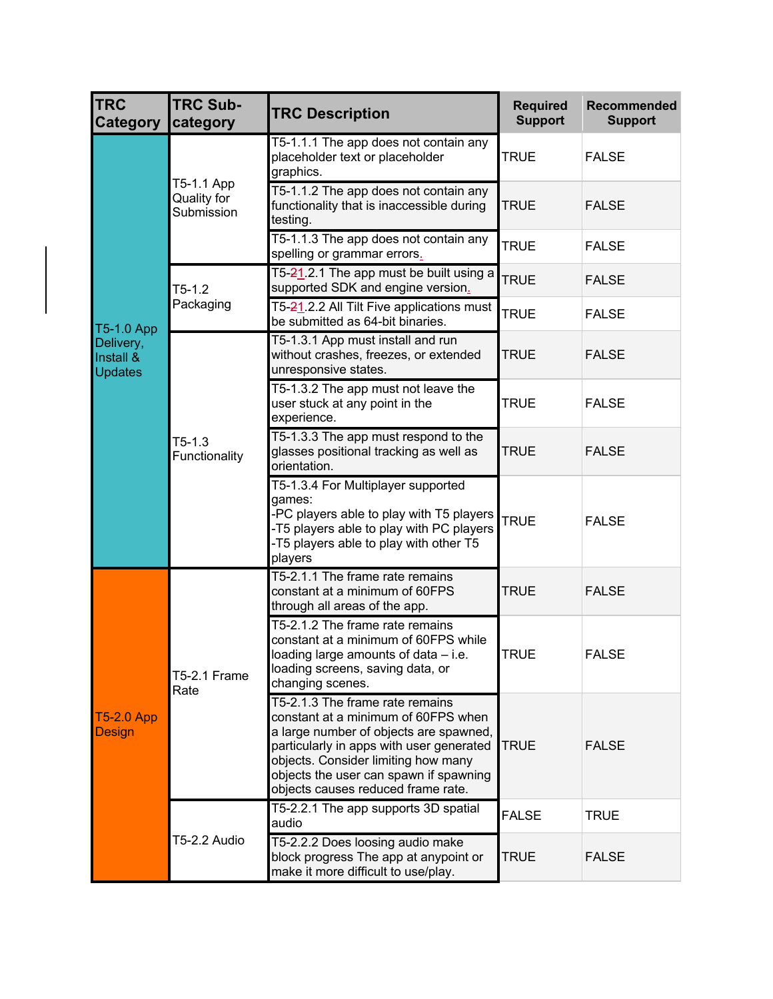| <b>TRC</b><br><b>Category</b>            | <b>TRC Sub-</b><br>category             | <b>TRC Description</b>                                                                                                                                                                                                                                                              | <b>Required</b><br><b>Support</b> | Recommended<br><b>Support</b> |
|------------------------------------------|-----------------------------------------|-------------------------------------------------------------------------------------------------------------------------------------------------------------------------------------------------------------------------------------------------------------------------------------|-----------------------------------|-------------------------------|
|                                          | T5-1.1 App<br>Quality for<br>Submission | T5-1.1.1 The app does not contain any<br>placeholder text or placeholder<br>graphics.                                                                                                                                                                                               | <b>TRUE</b>                       | <b>FALSE</b>                  |
|                                          |                                         | T5-1.1.2 The app does not contain any<br>functionality that is inaccessible during<br>testing.                                                                                                                                                                                      | <b>TRUE</b>                       | <b>FALSE</b>                  |
|                                          |                                         | T5-1.1.3 The app does not contain any<br>spelling or grammar errors.                                                                                                                                                                                                                | <b>TRUE</b>                       | <b>FALSE</b>                  |
|                                          | $T5-1.2$<br>Packaging                   | T5-21.2.1 The app must be built using a<br>supported SDK and engine version.                                                                                                                                                                                                        | <b>TRUE</b>                       | <b>FALSE</b>                  |
| T5-1.0 App                               |                                         | T5-21.2.2 All Tilt Five applications must<br>be submitted as 64-bit binaries.                                                                                                                                                                                                       | <b>TRUE</b>                       | <b>FALSE</b>                  |
| Delivery,<br>Install &<br><b>Updates</b> | $T5-1.3$<br>Functionality               | T5-1.3.1 App must install and run<br>without crashes, freezes, or extended<br>unresponsive states.                                                                                                                                                                                  | <b>TRUE</b>                       | <b>FALSE</b>                  |
|                                          |                                         | T5-1.3.2 The app must not leave the<br>user stuck at any point in the<br>experience.                                                                                                                                                                                                | <b>TRUE</b>                       | <b>FALSE</b>                  |
|                                          |                                         | T5-1.3.3 The app must respond to the<br>glasses positional tracking as well as<br>orientation.                                                                                                                                                                                      | <b>TRUE</b>                       | <b>FALSE</b>                  |
|                                          |                                         | T5-1.3.4 For Multiplayer supported<br>games:<br>-PC players able to play with T5 players<br>-T5 players able to play with PC players<br>-T5 players able to play with other T5<br>players                                                                                           | <b>TRUE</b>                       | <b>FALSE</b>                  |
|                                          |                                         | T5-2.1.1 The frame rate remains<br>constant at a minimum of 60FPS<br>through all areas of the app.                                                                                                                                                                                  | <b>TRUE</b>                       | <b>FALSE</b>                  |
| <b>T5-2.0 App</b><br><b>Design</b>       | <b>T5-2.1 Frame</b><br>Rate             | T5-2.1.2 The frame rate remains<br>constant at a minimum of 60FPS while<br>loading large amounts of data – i.e<br>loading screens, saving data, or<br>changing scenes.                                                                                                              | <b>TRUE</b>                       | <b>FALSE</b>                  |
|                                          |                                         | T5-2.1.3 The frame rate remains<br>constant at a minimum of 60FPS when<br>a large number of objects are spawned,<br>particularly in apps with user generated<br>objects. Consider limiting how many<br>objects the user can spawn if spawning<br>objects causes reduced frame rate. | <b>TRUE</b>                       | <b>FALSE</b>                  |
|                                          | T5-2.2 Audio                            | T5-2.2.1 The app supports 3D spatial<br>audio                                                                                                                                                                                                                                       | <b>FALSE</b>                      | <b>TRUE</b>                   |
|                                          |                                         | T5-2.2.2 Does loosing audio make<br>block progress The app at anypoint or<br>make it more difficult to use/play.                                                                                                                                                                    | <b>TRUE</b>                       | <b>FALSE</b>                  |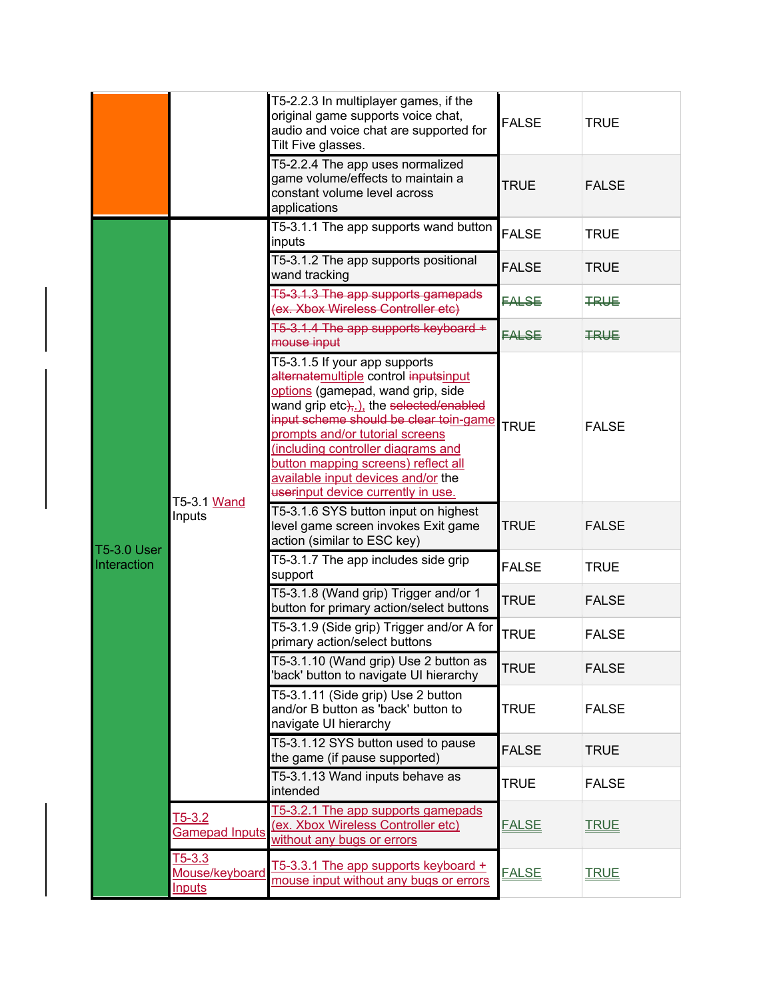|  |             |                                                                                  | T5-2.2.3 In multiplayer games, if the<br>original game supports voice chat,<br>audio and voice chat are supported for<br>Tilt Five glasses.                                                                                                                                                                                                                                                | <b>FALSE</b> | <b>TRUE</b>  |
|--|-------------|----------------------------------------------------------------------------------|--------------------------------------------------------------------------------------------------------------------------------------------------------------------------------------------------------------------------------------------------------------------------------------------------------------------------------------------------------------------------------------------|--------------|--------------|
|  |             |                                                                                  | T5-2.2.4 The app uses normalized<br>game volume/effects to maintain a<br>constant volume level across<br>applications                                                                                                                                                                                                                                                                      | <b>TRUE</b>  | <b>FALSE</b> |
|  |             | T5-3.1 Wand<br>Inputs<br><b>T5-3.0 User</b><br>$T5-3.2$<br><b>Gamepad Inputs</b> | T5-3.1.1 The app supports wand button<br>inputs                                                                                                                                                                                                                                                                                                                                            | <b>FALSE</b> | <b>TRUE</b>  |
|  |             |                                                                                  | T5-3.1.2 The app supports positional<br>wand tracking                                                                                                                                                                                                                                                                                                                                      | <b>FALSE</b> | <b>TRUE</b>  |
|  |             |                                                                                  | T5-3.1.3 The app supports gamepads<br>(ex. Xbox Wireless Controller etc)                                                                                                                                                                                                                                                                                                                   | FALSE        | <b>TRUE</b>  |
|  |             |                                                                                  | T5-3.1.4 The app supports keyboard +<br>mouse input                                                                                                                                                                                                                                                                                                                                        | FALSE        | <b>TRUE</b>  |
|  |             |                                                                                  | T5-3.1.5 If your app supports<br>alternatemultiple control inputsinput<br>options (gamepad, wand grip, side<br>wand grip etc), ithe selected/enabled<br>input scheme should be clear toin-game<br>prompts and/or tutorial screens<br>(including controller diagrams and<br>button mapping screens) reflect all<br>available input devices and/or the<br>userinput device currently in use. | <b>TRUE</b>  | <b>FALSE</b> |
|  |             |                                                                                  | T5-3.1.6 SYS button input on highest<br>level game screen invokes Exit game<br>action (similar to ESC key)                                                                                                                                                                                                                                                                                 | <b>TRUE</b>  | <b>FALSE</b> |
|  | Interaction |                                                                                  | T5-3.1.7 The app includes side grip<br>support                                                                                                                                                                                                                                                                                                                                             | <b>FALSE</b> | <b>TRUE</b>  |
|  |             |                                                                                  | T5-3.1.8 (Wand grip) Trigger and/or 1<br>button for primary action/select buttons                                                                                                                                                                                                                                                                                                          | <b>TRUE</b>  | <b>FALSE</b> |
|  |             |                                                                                  | T5-3.1.9 (Side grip) Trigger and/or A for<br>primary action/select buttons                                                                                                                                                                                                                                                                                                                 | TRUE         | <b>FALSE</b> |
|  |             |                                                                                  | T5-3.1.10 (Wand grip) Use 2 button as<br>'back' button to navigate UI hierarchy                                                                                                                                                                                                                                                                                                            | <b>TRUE</b>  | <b>FALSE</b> |
|  |             |                                                                                  | T5-3.1.11 (Side grip) Use 2 button<br>and/or B button as 'back' button to<br>navigate UI hierarchy                                                                                                                                                                                                                                                                                         | <b>TRUE</b>  | <b>FALSE</b> |
|  |             |                                                                                  | T5-3.1.12 SYS button used to pause<br>the game (if pause supported)                                                                                                                                                                                                                                                                                                                        | <b>FALSE</b> | <b>TRUE</b>  |
|  |             |                                                                                  | T5-3.1.13 Wand inputs behave as<br>intended                                                                                                                                                                                                                                                                                                                                                | <b>TRUE</b>  | <b>FALSE</b> |
|  |             |                                                                                  | T5-3.2.1 The app supports gamepads<br>(ex. Xbox Wireless Controller etc)<br>without any bugs or errors                                                                                                                                                                                                                                                                                     | <b>FALSE</b> | <b>IRUE</b>  |
|  |             | $T5-3.3$<br>Mouse/keyboard<br><b>Inputs</b>                                      | T5-3.3.1 The app supports keyboard +<br>mouse input without any bugs or errors                                                                                                                                                                                                                                                                                                             | <b>FALSE</b> | <b>TRUE</b>  |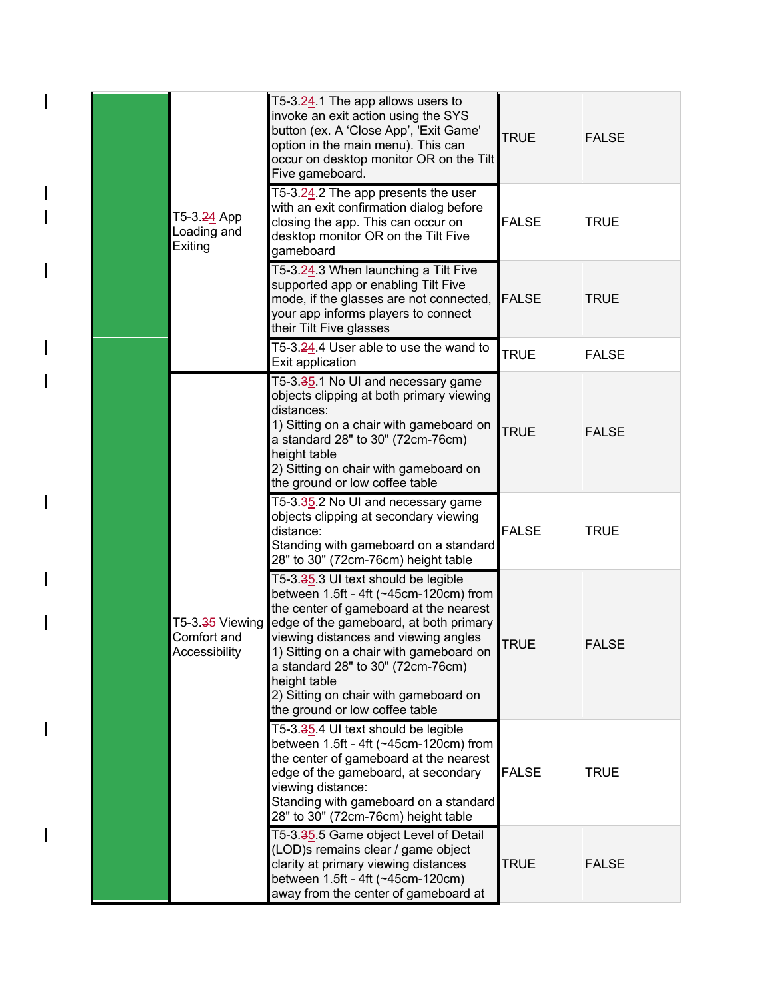|                                                   | T5-3.24.1 The app allows users to<br>invoke an exit action using the SYS<br>button (ex. A 'Close App', 'Exit Game'<br>option in the main menu). This can<br>occur on desktop monitor OR on the Tilt<br>Five gameboard.                                                                                                                                                               | <b>TRUE</b>  | <b>FALSE</b> |
|---------------------------------------------------|--------------------------------------------------------------------------------------------------------------------------------------------------------------------------------------------------------------------------------------------------------------------------------------------------------------------------------------------------------------------------------------|--------------|--------------|
| T5-3. <del>24</del> App<br>Loading and<br>Exiting | T5-3.24.2 The app presents the user<br>with an exit confirmation dialog before<br>closing the app. This can occur on<br>desktop monitor OR on the Tilt Five<br>gameboard                                                                                                                                                                                                             | <b>FALSE</b> | <b>TRUE</b>  |
|                                                   | T5-3.24.3 When launching a Tilt Five<br>supported app or enabling Tilt Five<br>mode, if the glasses are not connected,<br>your app informs players to connect<br>their Tilt Five glasses                                                                                                                                                                                             | <b>FALSE</b> | <b>TRUE</b>  |
|                                                   | T5-3.24.4 User able to use the wand to<br>Exit application                                                                                                                                                                                                                                                                                                                           | <b>TRUE</b>  | <b>FALSE</b> |
|                                                   | T5-3.35.1 No UI and necessary game<br>objects clipping at both primary viewing<br>distances:<br>1) Sitting on a chair with gameboard on<br>a standard 28" to 30" (72cm-76cm)<br>height table<br>2) Sitting on chair with gameboard on<br>the ground or low coffee table                                                                                                              | <b>TRUE</b>  | <b>FALSE</b> |
|                                                   | T5-3.35.2 No UI and necessary game<br>objects clipping at secondary viewing<br>distance:<br>Standing with gameboard on a standard<br>28" to 30" (72cm-76cm) height table                                                                                                                                                                                                             | <b>FALSE</b> | <b>TRUE</b>  |
| T5-3.35 Viewing<br>Comfort and<br>Accessibility   | T5-3.35.3 UI text should be legible<br>between 1.5ft - 4ft (~45cm-120cm) from<br>the center of gameboard at the nearest<br>edge of the gameboard, at both primary<br>viewing distances and viewing angles<br>1) Sitting on a chair with gameboard on<br>a standard 28" to 30" (72cm-76cm)<br>height table<br>2) Sitting on chair with gameboard on<br>the ground or low coffee table | <b>TRUE</b>  | <b>FALSE</b> |
|                                                   | T5-3.35.4 UI text should be legible<br>between 1.5ft - 4ft (~45cm-120cm) from<br>the center of gameboard at the nearest<br>edge of the gameboard, at secondary<br>viewing distance:<br>Standing with gameboard on a standard<br>28" to 30" (72cm-76cm) height table                                                                                                                  | <b>FALSE</b> | <b>TRUE</b>  |
|                                                   | T5-3.35.5 Game object Level of Detail<br>(LOD)s remains clear / game object<br>clarity at primary viewing distances<br>between 1.5ft - 4ft (~45cm-120cm)<br>away from the center of gameboard at                                                                                                                                                                                     | TRUE         | <b>FALSE</b> |

 $\overline{\phantom{a}}$ 

 $\overline{\phantom{a}}$ 

 $\overline{\phantom{a}}$ 

 $\overline{\phantom{a}}$ 

 $\overline{\phantom{a}}$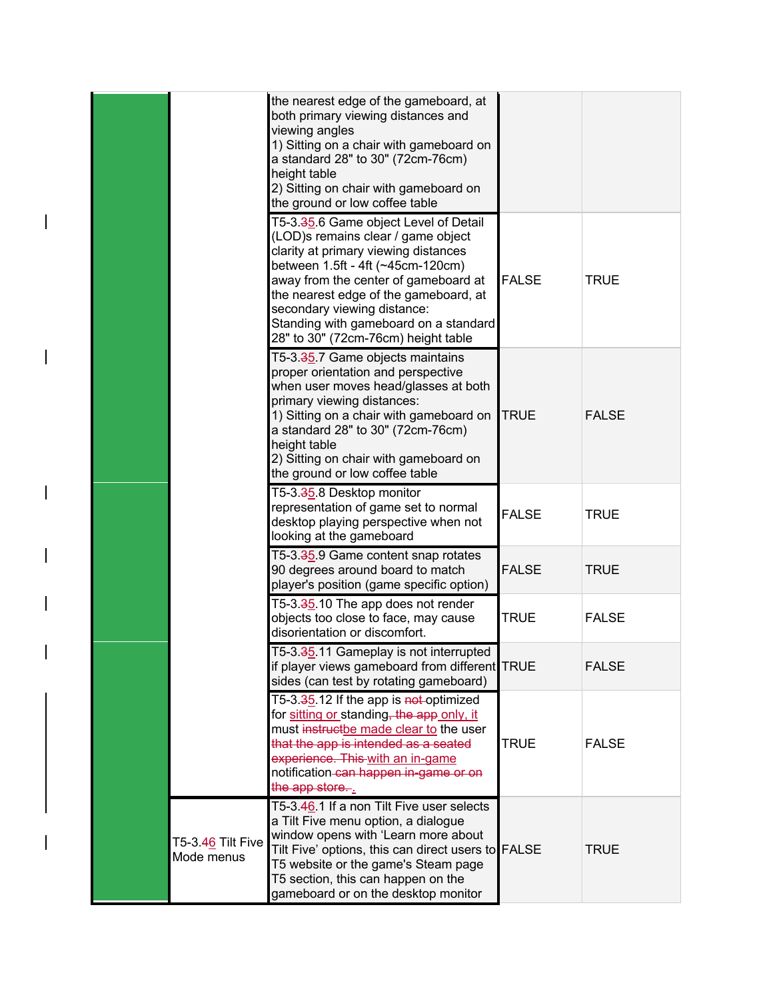|                                 | the nearest edge of the gameboard, at<br>both primary viewing distances and<br>viewing angles<br>1) Sitting on a chair with gameboard on<br>a standard 28" to 30" (72cm-76cm)<br>height table<br>2) Sitting on chair with gameboard on<br>the ground or low coffee table                                                                                 |              |              |
|---------------------------------|----------------------------------------------------------------------------------------------------------------------------------------------------------------------------------------------------------------------------------------------------------------------------------------------------------------------------------------------------------|--------------|--------------|
|                                 | T5-3.35.6 Game object Level of Detail<br>(LOD)s remains clear / game object<br>clarity at primary viewing distances<br>between 1.5ft - 4ft (~45cm-120cm)<br>away from the center of gameboard at<br>the nearest edge of the gameboard, at<br>secondary viewing distance:<br>Standing with gameboard on a standard<br>28" to 30" (72cm-76cm) height table | <b>FALSE</b> | <b>TRUE</b>  |
|                                 | T5-3.35.7 Game objects maintains<br>proper orientation and perspective<br>when user moves head/glasses at both<br>primary viewing distances:<br>1) Sitting on a chair with gameboard on<br>a standard 28" to 30" (72cm-76cm)<br>height table<br>2) Sitting on chair with gameboard on<br>the ground or low coffee table                                  | <b>TRUE</b>  | <b>FALSE</b> |
|                                 | T5-3.35.8 Desktop monitor<br>representation of game set to normal<br>desktop playing perspective when not<br>looking at the gameboard                                                                                                                                                                                                                    | <b>FALSE</b> | <b>TRUE</b>  |
|                                 | T5-3.35.9 Game content snap rotates<br>90 degrees around board to match<br>player's position (game specific option)                                                                                                                                                                                                                                      | <b>FALSE</b> | <b>TRUE</b>  |
|                                 | T5-3.35.10 The app does not render<br>objects too close to face, may cause<br>disorientation or discomfort.                                                                                                                                                                                                                                              | <b>TRUE</b>  | <b>FALSE</b> |
|                                 | T5-3.35.11 Gameplay is not interrupted<br>if player views gameboard from different TRUE<br>sides (can test by rotating gameboard)                                                                                                                                                                                                                        |              | <b>FALSE</b> |
|                                 | T5-3.35.12 If the app is not-optimized<br>for sitting or standing, the app only, it<br>must instructbe made clear to the user<br>that the app is intended as a seated<br>experience. This with an in-game<br>notification-can happen in-game or on<br>the app store                                                                                      | <b>TRUE</b>  | <b>FALSE</b> |
| T5-3.46 Tilt Five<br>Mode menus | T5-3.46.1 If a non Tilt Five user selects<br>a Tilt Five menu option, a dialogue<br>window opens with 'Learn more about<br>Tilt Five' options, this can direct users to FALSE<br>T5 website or the game's Steam page<br>T5 section, this can happen on the<br>gameboard or on the desktop monitor                                                        |              | <b>TRUE</b>  |

 $\overline{\phantom{a}}$ 

 $\overline{\phantom{a}}$ 

 $\overline{\phantom{a}}$ 

 $\overline{\phantom{a}}$ 

 $\overline{\phantom{a}}$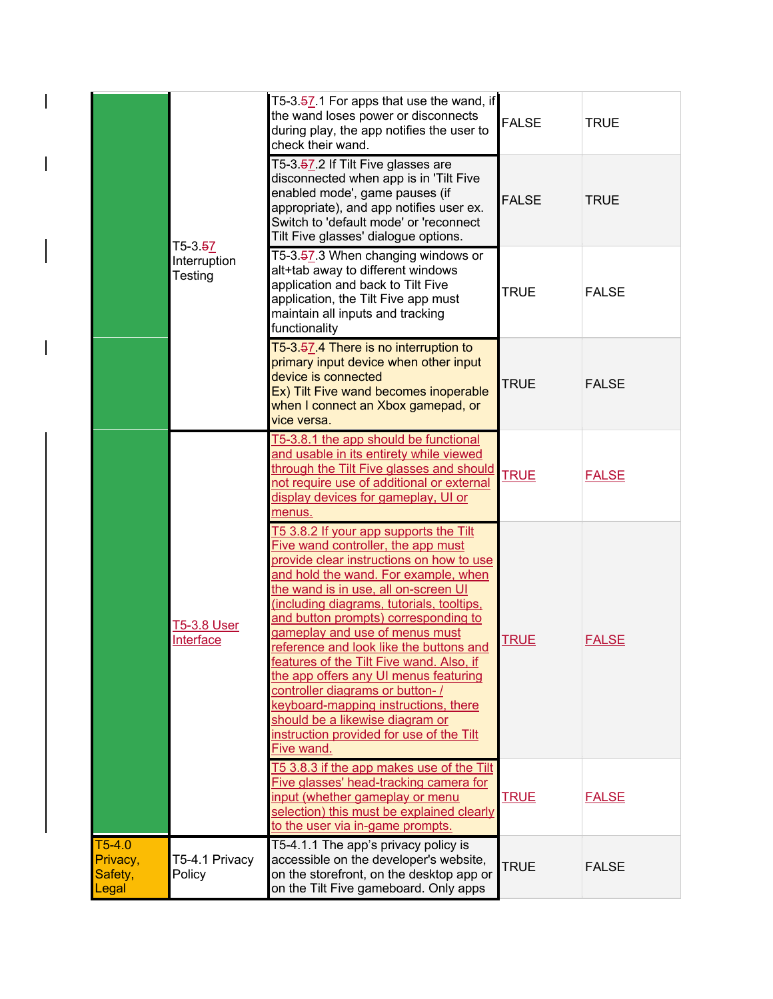|                                          | T5-3. <del>5</del> 7            | T5-3.57.1 For apps that use the wand, if<br>the wand loses power or disconnects<br>during play, the app notifies the user to<br>check their wand.                                                                                                                                                                                                                                                                                                                                                                                                                                                                                       | <b>FALSE</b> | <b>TRUE</b>  |
|------------------------------------------|---------------------------------|-----------------------------------------------------------------------------------------------------------------------------------------------------------------------------------------------------------------------------------------------------------------------------------------------------------------------------------------------------------------------------------------------------------------------------------------------------------------------------------------------------------------------------------------------------------------------------------------------------------------------------------------|--------------|--------------|
|                                          |                                 | T5-3.57.2 If Tilt Five glasses are<br>disconnected when app is in 'Tilt Five<br>enabled mode', game pauses (if<br>appropriate), and app notifies user ex.<br>Switch to 'default mode' or 'reconnect<br>Tilt Five glasses' dialogue options.                                                                                                                                                                                                                                                                                                                                                                                             | <b>FALSE</b> | <b>TRUE</b>  |
|                                          | Interruption<br>Testing         | T5-3.57.3 When changing windows or<br>alt+tab away to different windows<br>application and back to Tilt Five<br>application, the Tilt Five app must<br>maintain all inputs and tracking<br>functionality                                                                                                                                                                                                                                                                                                                                                                                                                                | <b>TRUE</b>  | <b>FALSE</b> |
|                                          |                                 | T5-3.57.4 There is no interruption to<br>primary input device when other input<br>device is connected<br>Ex) Tilt Five wand becomes inoperable<br>when I connect an Xbox gamepad, or<br>vice versa.                                                                                                                                                                                                                                                                                                                                                                                                                                     | <b>TRUE</b>  | <b>FALSE</b> |
|                                          |                                 | T5-3.8.1 the app should be functional<br>and usable in its entirety while viewed<br>through the Tilt Five glasses and should<br>not require use of additional or external<br>display devices for gameplay, UI or<br>menus.                                                                                                                                                                                                                                                                                                                                                                                                              | <b>TRUE</b>  | <b>FALSE</b> |
|                                          | <b>T5-3.8 User</b><br>Interface | T5 3.8.2 If your app supports the Tilt<br>Five wand controller, the app must<br>provide clear instructions on how to use<br>and hold the wand. For example, when<br>the wand is in use, all on-screen UI<br>(including diagrams, tutorials, tooltips,<br>and button prompts) corresponding to<br>gameplay and use of menus must<br>reference and look like the buttons and<br>features of the Tilt Five wand. Also, if<br>the app offers any UI menus featuring<br>controller diagrams or button-/<br>keyboard-mapping instructions, there<br>should be a likewise diagram or<br>instruction provided for use of the Tilt<br>Five wand. | <b>TRUE</b>  | <b>FALSE</b> |
|                                          |                                 | T5 3.8.3 if the app makes use of the Tilt<br>Five glasses' head-tracking camera for<br>input (whether gameplay or menu<br>selection) this must be explained clearly<br>to the user via in-game prompts.                                                                                                                                                                                                                                                                                                                                                                                                                                 | <b>TRUE</b>  | <b>FALSE</b> |
| $T5-4.0$<br>Privacy,<br>Safety,<br>Legal | T5-4.1 Privacy<br>Policy        | T5-4.1.1 The app's privacy policy is<br>accessible on the developer's website,<br>on the storefront, on the desktop app or<br>on the Tilt Five gameboard. Only apps                                                                                                                                                                                                                                                                                                                                                                                                                                                                     | <b>TRUE</b>  | <b>FALSE</b> |

 $\mathbf{I}$ 

 $\begin{array}{c} \hline \end{array}$